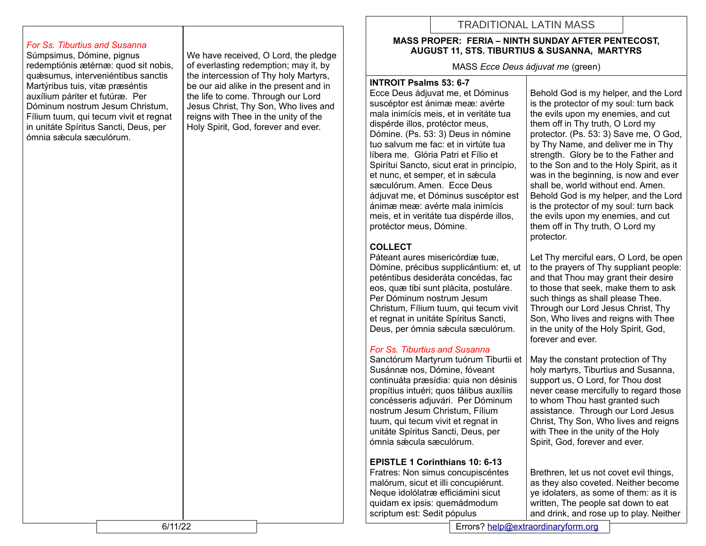# TRADITIONAL LATIN MASS

#### *For Ss. Tiburtius and Susanna*

Súmpsimus, Dómine, pignus redemptiónis ætérnæ: quod sit nobis, quǽsumus, interveniéntibus sanctis Martýribus tuis, vitæ præséntis auxílium páriter et futúræ. Per Dóminum nostrum Jesum Christum, Fílium tuum, qui tecum vivit et regnat in unitáte Spíritus Sancti, Deus, per ómnia sǽcula sæculórum.

We have received, O Lord, the pledge of everlasting redemption; may it, by the intercession of Thy holy Martyrs, be our aid alike in the present and in the life to come. Through our Lord Jesus Christ, Thy Son, Who lives and reigns with Thee in the unity of the Holy Spirit, God, forever and ever.

#### **MASS PROPER: FERIA – NINTH SUNDAY AFTER PENTECOST, AUGUST 11, STS. TIBURTIUS & SUSANNA, MARTYRS**

MASS *Ecce Deus ádjuvat me* (green)

#### **INTROIT Psalms 53: 6-7**

Ecce Deus ádjuvat me, et Dóminus suscéptor est ánimæ meæ: avérte mala inimícis meis, et in veritáte tua dispérde illos, protéctor meus, Dómine. (Ps. 53: 3) Deus in nómine tuo salvum me fac: et in virtúte tua líbera me. Glória Patri et Fílio et Spirítui Sancto, sicut erat in princípio, et nunc, et semper, et in sæcula sæculórum. Amen. Ecce Deus ádjuvat me, et Dóminus suscéptor est ánimæ meæ: avérte mala inimícis meis, et in veritáte tua dispérde illos, protéctor meus, Dómine.

# **COLLECT**

Páteant aures misericórdiæ tuæ, Dómine, précibus supplicántium: et, ut peténtibus desideráta concédas, fac eos, quæ tibi sunt plácita, postuláre. Per Dóminum nostrum Jesum Christum, Fílium tuum, qui tecum vivit et regnat in unitáte Spíritus Sancti, Deus, per ómnia sǽcula sæculórum.

## *For Ss. Tiburtius and Susanna*

Sanctórum Martyrum tuórum Tiburtii et Susánnæ nos, Dómine, fóveant continuáta præsídia: quia non désinis propítius intuéri; quos tálibus auxíliis concésseris adjuvári. Per Dóminum nostrum Jesum Christum, Fílium tuum, qui tecum vivit et regnat in unitáte Spíritus Sancti, Deus, per ómnia sǽcula sæculórum.

# **EPISTLE 1 Corinthians 10: 6-13**

Fratres: Non simus concupiscéntes malórum, sicut et illi concupiérunt. Neque idolólatræ efficiámini sicut quidam ex ipsis: quemádmodum scriptum est: Sedit pópulus

Behold God is my helper, and the Lord is the protector of my soul: turn back the evils upon my enemies, and cut them off in Thy truth, O Lord my protector. (Ps. 53: 3) Save me, O God, by Thy Name, and deliver me in Thy strength. Glory be to the Father and to the Son and to the Holy Spirit, as it was in the beginning, is now and ever shall be, world without end. Amen. Behold God is my helper, and the Lord is the protector of my soul: turn back the evils upon my enemies, and cut them off in Thy truth, O Lord my protector.

Let Thy merciful ears, O Lord, be open to the prayers of Thy suppliant people: and that Thou may grant their desire to those that seek, make them to ask such things as shall please Thee. Through our Lord Jesus Christ, Thy Son, Who lives and reigns with Thee in the unity of the Holy Spirit, God, forever and ever.

May the constant protection of Thy holy martyrs, Tiburtius and Susanna, support us, O Lord, for Thou dost never cease mercifully to regard those to whom Thou hast granted such assistance. Through our Lord Jesus Christ, Thy Son, Who lives and reigns with Thee in the unity of the Holy Spirit, God, forever and ever.

Brethren, let us not covet evil things, as they also coveted. Neither become ye idolaters, as some of them: as it is written, The people sat down to eat and drink, and rose up to play. Neither